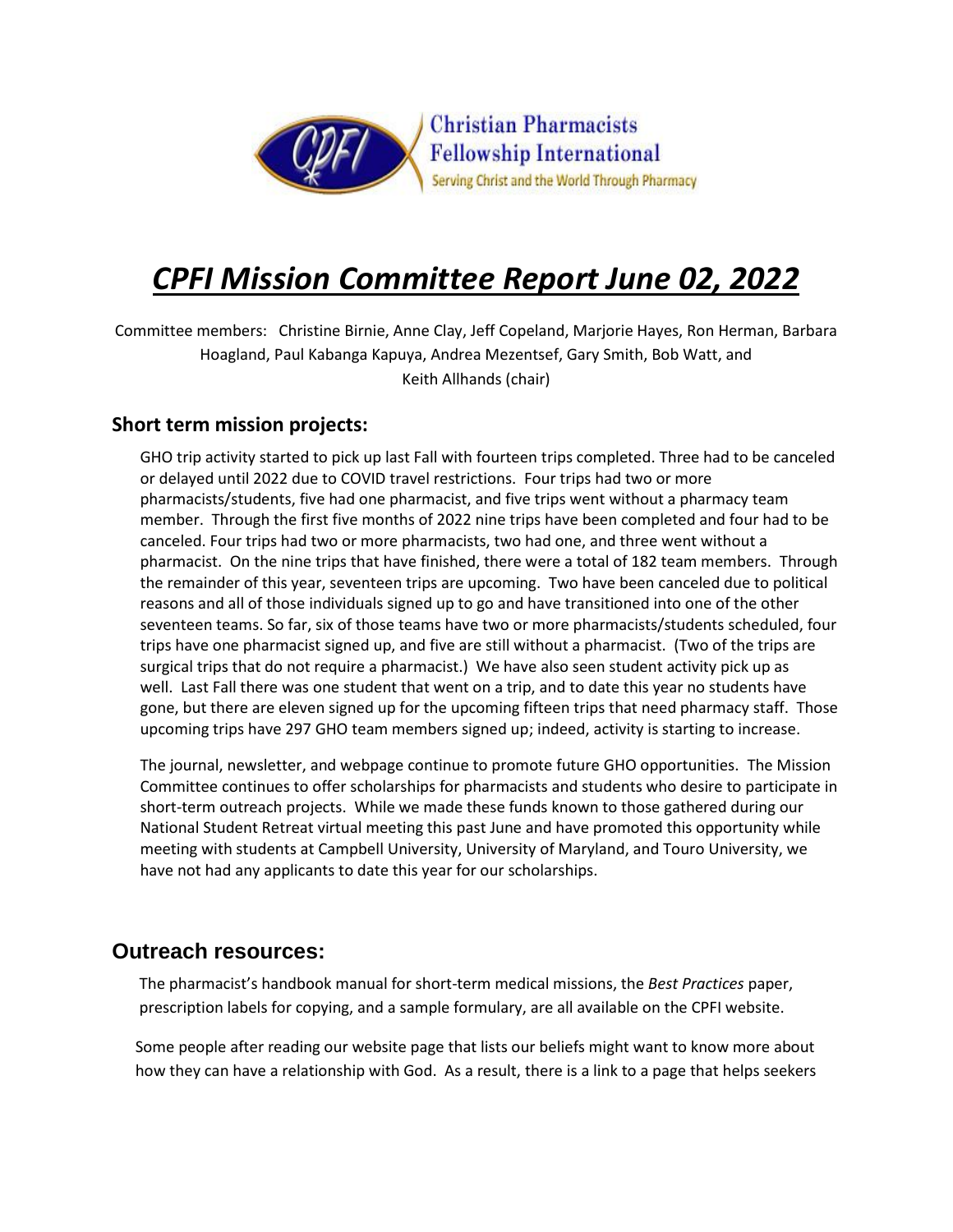

# *CPFI Mission Committee Report June 02, 2022*

Committee members: Christine Birnie, Anne Clay, Jeff Copeland, Marjorie Hayes, Ron Herman, Barbara Hoagland, Paul Kabanga Kapuya, Andrea Mezentsef, Gary Smith, Bob Watt, and Keith Allhands (chair)

#### **Short term mission projects:**

GHO trip activity started to pick up last Fall with fourteen trips completed. Three had to be canceled or delayed until 2022 due to COVID travel restrictions. Four trips had two or more pharmacists/students, five had one pharmacist, and five trips went without a pharmacy team member. Through the first five months of 2022 nine trips have been completed and four had to be canceled. Four trips had two or more pharmacists, two had one, and three went without a pharmacist. On the nine trips that have finished, there were a total of 182 team members. Through the remainder of this year, seventeen trips are upcoming. Two have been canceled due to political reasons and all of those individuals signed up to go and have transitioned into one of the other seventeen teams. So far, six of those teams have two or more pharmacists/students scheduled, four trips have one pharmacist signed up, and five are still without a pharmacist. (Two of the trips are surgical trips that do not require a pharmacist.) We have also seen student activity pick up as well. Last Fall there was one student that went on a trip, and to date this year no students have gone, but there are eleven signed up for the upcoming fifteen trips that need pharmacy staff. Those upcoming trips have 297 GHO team members signed up; indeed, activity is starting to increase.

The journal, newsletter, and webpage continue to promote future GHO opportunities. The Mission Committee continues to offer scholarships for pharmacists and students who desire to participate in short-term outreach projects. While we made these funds known to those gathered during our National Student Retreat virtual meeting this past June and have promoted this opportunity while meeting with students at Campbell University, University of Maryland, and Touro University, we have not had any applicants to date this year for our scholarships.

### **Outreach resources:**

The pharmacist's handbook manual for short-term medical missions, the *Best Practices* paper, prescription labels for copying, and a sample formulary, are all available on the CPFI website.

Some people after reading our website page that lists our beliefs might want to know more about how they can have a relationship with God. As a result, there is a link to a page that helps seekers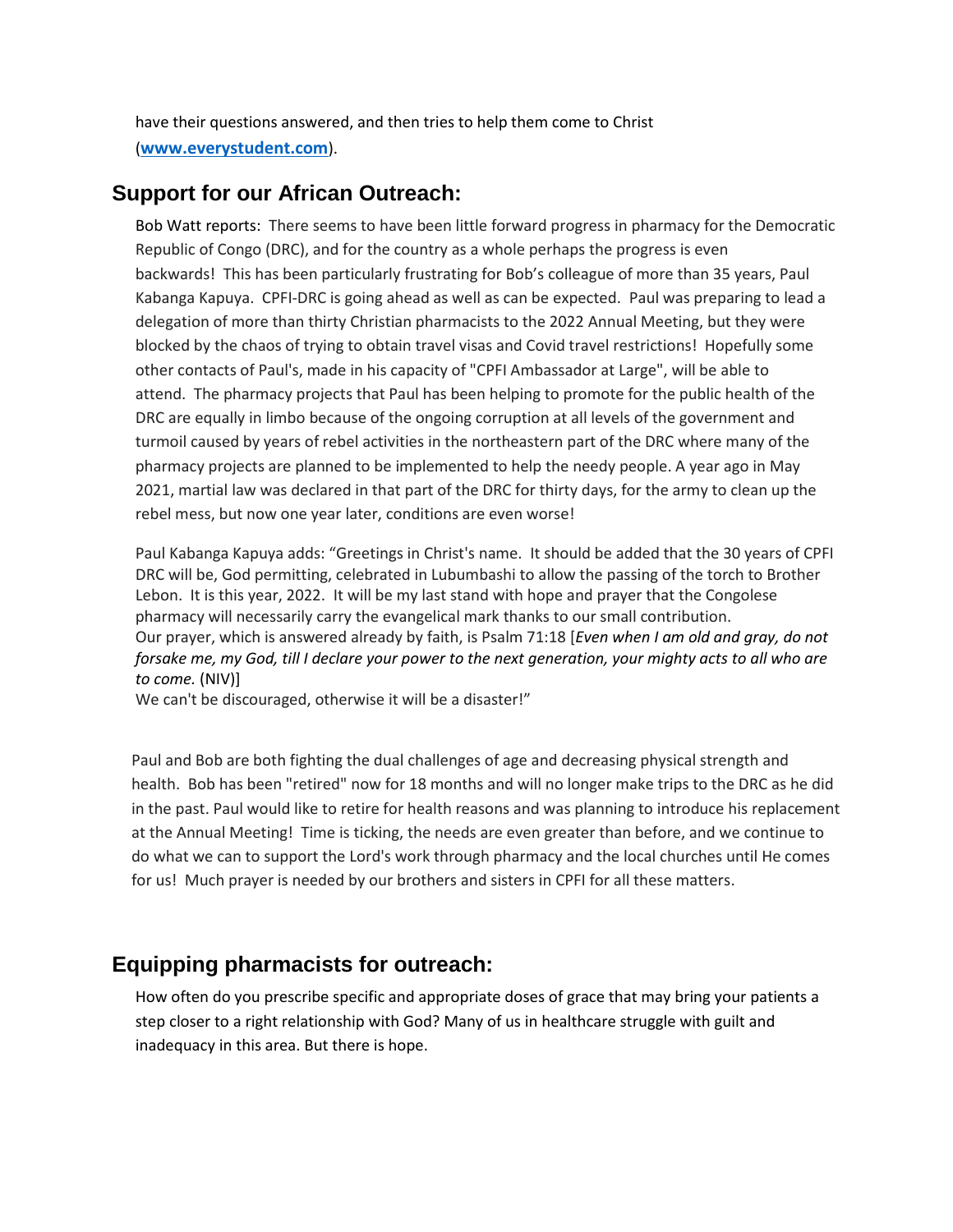have their questions answered, and then tries to help them come to Christ (**[www.everystudent.com](http://www.everystudent.com/)**).

## **Support for our African Outreach:**

Bob Watt reports: There seems to have been little forward progress in pharmacy for the Democratic Republic of Congo (DRC), and for the country as a whole perhaps the progress is even backwards! This has been particularly frustrating for Bob's colleague of more than 35 years, Paul Kabanga Kapuya. CPFI-DRC is going ahead as well as can be expected. Paul was preparing to lead a delegation of more than thirty Christian pharmacists to the 2022 Annual Meeting, but they were blocked by the chaos of trying to obtain travel visas and Covid travel restrictions! Hopefully some other contacts of Paul's, made in his capacity of "CPFI Ambassador at Large", will be able to attend. The pharmacy projects that Paul has been helping to promote for the public health of the DRC are equally in limbo because of the ongoing corruption at all levels of the government and turmoil caused by years of rebel activities in the northeastern part of the DRC where many of the pharmacy projects are planned to be implemented to help the needy people. A year ago in May 2021, martial law was declared in that part of the DRC for thirty days, for the army to clean up the rebel mess, but now one year later, conditions are even worse!

Paul Kabanga Kapuya adds: "Greetings in Christ's name. It should be added that the 30 years of CPFI DRC will be, God permitting, celebrated in Lubumbashi to allow the passing of the torch to Brother Lebon. It is this year, 2022. It will be my last stand with hope and prayer that the Congolese pharmacy will necessarily carry the evangelical mark thanks to our small contribution. Our prayer, which is answered already by faith, is Psalm 71:18 [*Even when I am old and gray, do not forsake me, my God, till I declare your power to the next generation, your mighty acts to all who are to come.* (NIV)]

We can't be discouraged, otherwise it will be a disaster!"

Paul and Bob are both fighting the dual challenges of age and decreasing physical strength and health. Bob has been "retired" now for 18 months and will no longer make trips to the DRC as he did in the past. Paul would like to retire for health reasons and was planning to introduce his replacement at the Annual Meeting! Time is ticking, the needs are even greater than before, and we continue to do what we can to support the Lord's work through pharmacy and the local churches until He comes for us! Much prayer is needed by our brothers and sisters in CPFI for all these matters.

## **Equipping pharmacists for outreach:**

How often do you prescribe specific and appropriate doses of grace that may bring your patients a step closer to a right relationship with God? Many of us in healthcare struggle with guilt and inadequacy in this area. But there is hope.